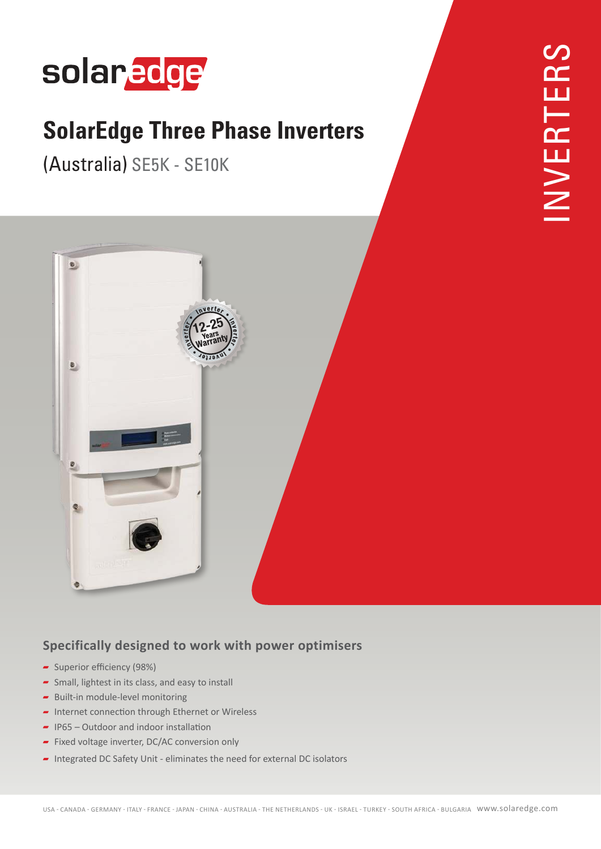# solaredge

#### **SolarEdge Three Phase Inverters**

(Australia) SE5K - SE10K



#### **Specifically designed to work with power optimisers**

- Superior efficiency (98%)
- $\blacktriangleright$  Small, lightest in its class, and easy to install
- $\blacksquare$  Built-in module-level monitoring
- $\blacksquare$  Internet connection through Ethernet or Wireless
- $\blacksquare$  IP65 Outdoor and indoor installation
- Fixed voltage inverter, DC/AC conversion only
- Integrated DC Safety Unit eliminates the need for external DC isolators